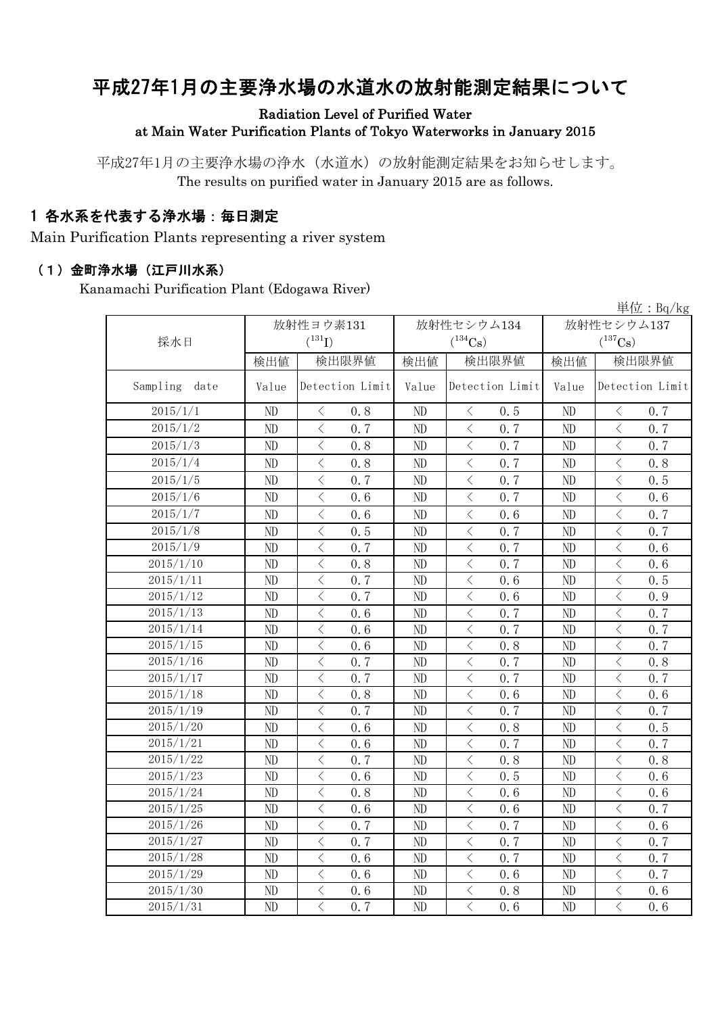# 平成27年1月の主要浄水場の水道水の放射能測定結果について

#### Radiation Level of Purified Water at Main Water Purification Plants of Tokyo Waterworks in January 2015

平成27年1月の主要浄水場の浄水(水道水)の放射能測定結果をお知らせします。 The results on purified water in January 2015 are as follows.

### 1 各水系を代表する浄水場:毎日測定

Main Purification Plants representing a river system

#### (1)金町浄水場(江戸川水系)

Kanamachi Purification Plant (Edogawa River)

|                  |          |                                                  |            |                                                 |                | 単位: $Bq/kg$                                     |  |  |
|------------------|----------|--------------------------------------------------|------------|-------------------------------------------------|----------------|-------------------------------------------------|--|--|
|                  |          | 放射性ヨウ素131                                        | 放射性セシウム134 |                                                 |                | 放射性セシウム137                                      |  |  |
| 採水日              |          | $(^{131}I)$                                      |            | $(^{134}Cs)$                                    |                | $(^{137}Cs)$                                    |  |  |
|                  | 検出値      | 検出限界値                                            | 検出値        | 検出限界値                                           | 検出値            | 検出限界値                                           |  |  |
| Sampling<br>date | Value    | Detection Limit                                  | Value      | Detection Limit                                 | Value          | Detection Limit                                 |  |  |
| 2015/1/1         | ND       | 0.8<br>$\lt$                                     | ND         | 0.5<br>$\langle$                                | ND             | 0.7<br>$\lt$                                    |  |  |
| 2015/1/2         | ND       | $\overline{\langle}$<br>0.7                      | ND         | $\langle$<br>0.7                                | ND             | $\overline{\langle}$<br>0.7                     |  |  |
| 2015/1/3         | ND       | $\overline{\left\langle \right\rangle }$<br>0.8  | ND         | $\langle$<br>0.7                                | ND             | $\langle$<br>0.7                                |  |  |
| 2015/1/4         | ND       | $\langle$<br>0.8                                 | ND         | $\overline{\left\langle \right\rangle }$<br>0.7 | ND             | $\langle$<br>0.8                                |  |  |
| 2015/1/5         | ND       | $\,$ $\,$ $\,$<br>0.7                            | ND         | $\,$ $\,$ $\,$<br>0.7                           | ND             | $\lt$<br>0.5                                    |  |  |
| 2015/1/6         | ND       | $\langle$<br>0.6                                 | ND         | $\,$ $\,$ $\,$<br>0.7                           | ND             | $\langle$<br>0.6                                |  |  |
| 2015/1/7         | ND       | $\hspace{0.5cm}\big\langle$<br>0.6               | ND         | $\, \big\langle \,$<br>0.6                      | ND             | $\, < \,$<br>0.7                                |  |  |
| 2015/1/8         | $\rm ND$ | $\,$ $\,$ $\,$<br>0.5                            | ND         | $\langle$<br>0.7                                | ND             | $\lt$<br>0.7                                    |  |  |
| 2015/1/9         | $\rm ND$ | $\hspace{0.5cm}\big\langle$<br>0.7               | ND         | $\, \big\langle \,$<br>0.7                      | ND             | $\, \zeta \,$<br>0.6                            |  |  |
| 2015/1/10        | ND       | $\,$ $\,$ $\,$<br>0.8                            | ND         | $\, <\,$<br>0.7                                 | ND             | $\,$ $\,$ $\,$<br>0.6                           |  |  |
| 2015/1/11        | ND       | $\langle$<br>0.7                                 | ND         | $\langle$<br>0.6                                | N <sub>D</sub> | $\bigg\langle$<br>0.5                           |  |  |
| 2015/1/12        | ND       | $\overline{\left\langle \right\rangle }$<br>0, 7 | ND         | $\,$ $\,$ $\,$<br>0.6                           | ND             | $\langle$<br>0.9                                |  |  |
| 2015/1/13        | ND       | $\overline{\left\langle \right\rangle }$<br>0.6  | ND         | $\,$ $\,$ $\,$<br>0.7                           | ND             | $\overline{\left\langle \right\rangle }$<br>0.7 |  |  |
| 2015/1/14        | ND       | $\lt$<br>0.6                                     | ND         | $\langle$<br>0.7                                | ND             | $\lt$<br>0.7                                    |  |  |
| 2015/1/15        | ND       | $\overline{\left\langle \right\rangle }$<br>0.6  | ND         | $\langle$<br>0.8                                | ND             | $\overline{\left\langle \right\rangle }$<br>0.7 |  |  |
| 2015/1/16        | ND       | $\langle$<br>0.7                                 | ND         | $\,$ $\,$ $\,$<br>0.7                           | ND             | $\,$ $\,$ $\,$<br>0.8                           |  |  |
| 2015/1/17        | ND       | $\langle$<br>0.7                                 | ND         | $\langle$<br>0.7                                | ND             | $\lt$<br>0.7                                    |  |  |
| 2015/1/18        | ND       | $\overline{\left\langle \right\rangle }$<br>0.8  | ND         | $\langle$<br>0.6                                | ND             | $\langle$<br>0, 6                               |  |  |
| 2015/1/19        | ND       | $\overline{\left\langle \right\rangle }$<br>0.7  | ND         | $\lt$<br>0.7                                    | ND             | $\langle$<br>0.7                                |  |  |
| 2015/1/20        | ND       | $\langle$<br>0.6                                 | ND         | $\langle$<br>0.8                                | ND             | $\lt$<br>0.5                                    |  |  |
| 2015/1/21        | ND       | $\overline{\left\langle \right\rangle }$<br>0.6  | ND         | $\langle$<br>0.7                                | ND             | $\overline{\left\langle \right\rangle }$<br>0.7 |  |  |
| 2015/1/22        | ND       | $\overline{\left\langle \right\rangle }$<br>0.7  | ND         | $\langle$<br>0.8                                | ND             | $\overline{\left\langle \right\rangle }$<br>0.8 |  |  |
| 2015/1/23        | ND       | $\lt$<br>0.6                                     | ND         | $\langle$<br>0.5                                | ND             | $\langle$<br>0.6                                |  |  |
| 2015/1/24        | ND       | $\,$ $\,$ $\,$<br>0.8                            | ND         | $\,$ $\,$ $\,$<br>0.6                           | N <sub>D</sub> | $\,$ $\,$ $\,$<br>0.6                           |  |  |
| 2015/1/25        | ND       | $\overline{\left\langle \right\rangle }$<br>0.6  | ND         | $\overline{\left\langle \right\rangle }$<br>0.6 | ND             | $\overline{\left\langle \right\rangle }$<br>0.7 |  |  |
| 2015/1/26        | ND       | $\overline{\left\langle \right\rangle }$<br>0.7  | ND         | $\langle$<br>0.7                                | ND             | $\lt$<br>0.6                                    |  |  |
| 2015/1/27        | ND       | $\overline{\left\langle \right\rangle }$<br>0.7  | ND         | $\langle$<br>0.7                                | ND             | $\langle$<br>0.7                                |  |  |
| 2015/1/28        | ND       | $\overline{\left\langle \right\rangle }$<br>0.6  | ND         | $\langle$<br>0.7                                | ND             | $\langle$<br>0.7                                |  |  |
| 2015/1/29        | ND       | $\overline{\left\langle \right\rangle }$<br>0.6  | ND         | $\langle$<br>0.6                                | ND             | $\overline{\left\langle \right\rangle }$<br>0.7 |  |  |
| 2015/1/30        | ND       | $\overline{\left\langle \right\rangle }$<br>0.6  | ND         | $\langle$<br>0.8                                | ND             | $\langle$<br>0.6                                |  |  |
| 2015/1/31        | ND       | $\langle$<br>0.7                                 | ND         | $\langle$<br>0.6                                | ND             | $\lt$<br>0.6                                    |  |  |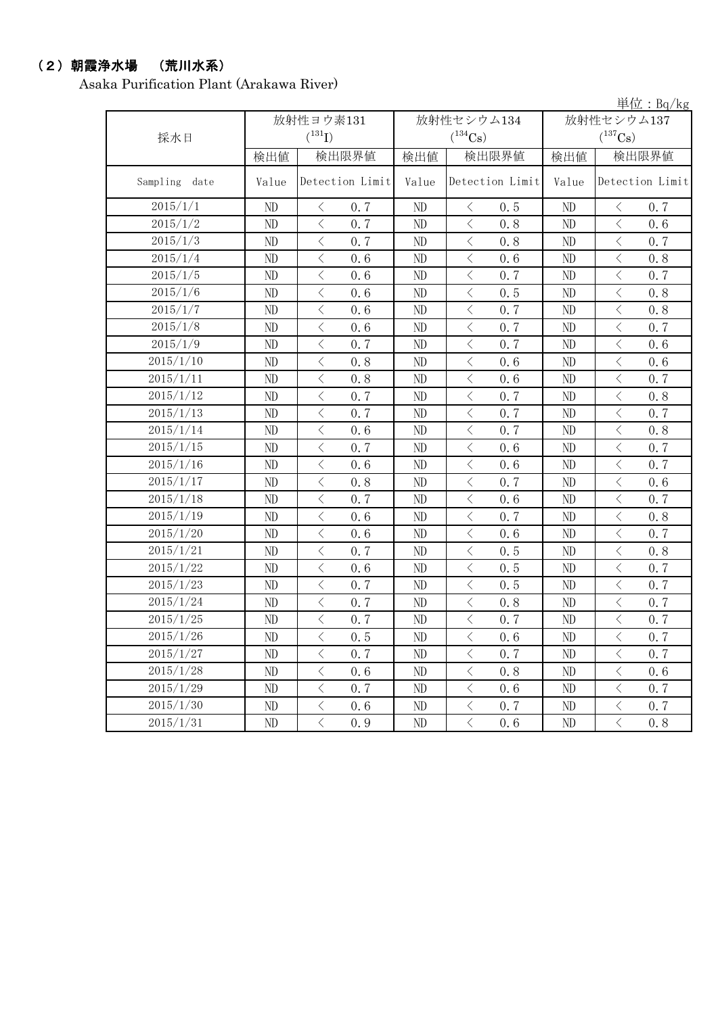### (2)朝霞浄水場 (荒川水系)

Asaka Purification Plant (Arakawa River)

単位:Bq/kg

| 採水日           |          | 放射性ヨウ素131<br>$(^{131}I)$                        |          | 放射性セシウム134<br>$(^{134}Cs)$                      | 放射性セシウム137<br>$(^{137}Cs)$ |                  |  |
|---------------|----------|-------------------------------------------------|----------|-------------------------------------------------|----------------------------|------------------|--|
|               | 検出値      | 検出限界値                                           | 検出値      | 検出限界値                                           | 検出値                        | 検出限界値            |  |
| Sampling date | Value    | Detection Limit                                 | Value    | Detection Limit                                 | Value                      | Detection Limit  |  |
| $2015/1/1$    | ND       | 0.7<br>$\lt$                                    | ND       | 0.5<br>$\lt$                                    | ND                         | 0.7<br>$\lt$     |  |
| 2015/1/2      | ND       | $\langle$<br>0.7                                | ND       | $\overline{\left\langle \right\rangle }$<br>0.8 | ND                         | $\langle$<br>0.6 |  |
| 2015/1/3      | ND       | $\langle$<br>0.7                                | ND       | $\langle$<br>0.8                                | ND                         | $\langle$<br>0.7 |  |
| 2015/1/4      | ND       | $\,$ $\,$ $\,$<br>0.6                           | ND       | $\lt$<br>0.6                                    | ND                         | $\langle$<br>0.8 |  |
| 2015/1/5      | ND       | $\overline{\langle}$<br>0.6                     | ND       | $\overline{\left\langle \right\rangle }$<br>0.7 | ND                         | $\langle$<br>0.7 |  |
| 2015/1/6      | ND       | $\langle$<br>0.6                                | ND       | $\lt$<br>0.5                                    | ND                         | $\langle$<br>0.8 |  |
| 2015/1/7      | ND       | $\,$ $\,$ $\,$<br>0.6                           | ND       | $\lt$<br>0.7                                    | ND                         | $\langle$<br>0.8 |  |
| 2015/1/8      | ND       | $\overline{\left\langle \right\rangle }$<br>0.6 | ND       | $\langle$<br>0.7                                | ND                         | $\lt$<br>0.7     |  |
| 2015/1/9      | ND       | $\,$ $\,$ $\,$<br>0.7                           | ND       | $\, \big\langle \,$<br>0.7                      | ND                         | $\lt$<br>0.6     |  |
| 2015/1/10     | $\rm ND$ | $\,$ $\,$ $\,$<br>0.8                           | ND       | $\langle$<br>0.6                                | ND                         | $\lt$<br>0.6     |  |
| 2015/1/11     | ND       | $\,$ $\,$ $\,$<br>0.8                           | ND       | $\lt$<br>0.6                                    | ND                         | $\lt$<br>0.7     |  |
| 2015/1/12     | ND       | $\, <\,$<br>0.7                                 | $\rm ND$ | $\lt$<br>0.7                                    | ND                         | $\lt$<br>0.8     |  |
| 2015/1/13     | ND       | $\,$ $\,$ $\,$<br>0.7                           | ND       | $\lt$<br>0.7                                    | ND                         | $\lt$<br>0.7     |  |
| 2015/1/14     | $\rm ND$ | $\,$ $\,$ $\,$<br>0.6                           | $\rm ND$ | $\lt$<br>0.7                                    | ND                         | $\lt$<br>0.8     |  |
| 2015/1/15     | ND       | $\,$ $\,$ $\,$<br>0.7                           | $\rm ND$ | $\lt$<br>0.6                                    | ND                         | $\langle$<br>0.7 |  |
| 2015/1/16     | ND       | $\,$ $\,$ $\,$<br>0.6                           | ND       | $\lt$<br>0.6                                    | ND                         | $\lt$<br>0.7     |  |
| 2015/1/17     | $\rm ND$ | $\,$ $\,$ $\,$<br>0.8                           | ND       | $\langle$<br>0.7                                | ND                         | $\lt$<br>$0.6\,$ |  |
| 2015/1/18     | $\rm ND$ | $\langle$<br>0.7                                | ND       | $\overline{\left\langle \right\rangle }$<br>0.6 | ND                         | $\langle$<br>0.7 |  |
| 2015/1/19     | ND       | $\langle$<br>0.6                                | ND       | $\overline{\left\langle \right\rangle }$<br>0.7 | ND                         | $\langle$<br>0.8 |  |
| 2015/1/20     | ND       | $\langle$<br>0.6                                | ND       | $\langle$<br>0.6                                | ND                         | $\langle$<br>0.7 |  |
| 2015/1/21     | ND       | $\overline{\langle}$<br>0.7                     | ND       | $\overline{\left\langle \right\rangle }$<br>0.5 | ND                         | $\langle$<br>0.8 |  |
| 2015/1/22     | ND       | $\langle$<br>0.6                                | ND       | $\lt$<br>0.5                                    | ND                         | $\langle$<br>0.7 |  |
| 2015/1/23     | $\rm ND$ | $\,$ $\,$ $\,$<br>0.7                           | $\rm ND$ | $\lt$<br>0.5                                    | ND                         | $\langle$<br>0.7 |  |
| 2015/1/24     | ND       | $\overline{\left\langle \right\rangle }$<br>0.7 | ND       | $\lt$<br>0.8                                    | ND                         | $\lt$<br>0.7     |  |
| 2015/1/25     | ND       | $\langle$<br>0.7                                | ND       | $\langle$<br>0.7                                | ND                         | $\lt$<br>0.7     |  |
| 2015/1/26     | ND       | $\lt$<br>0.5                                    | ND       | $\langle$<br>0.6                                | ND                         | $\lt$<br>0.7     |  |
| 2015/1/27     | ND       | $\,$ $\,$ $\,$<br>0.7                           | $\rm ND$ | $\langle$<br>0.7                                | ND                         | $\lt$<br>0.7     |  |
| 2015/1/28     | ND       | $\langle$<br>0.6                                | ND       | $\langle$<br>0.8                                | ND                         | $\langle$<br>0.6 |  |
| 2015/1/29     | $\rm ND$ | $\langle$<br>0.7                                | $\rm ND$ | $\big\langle$<br>0.6                            | ND                         | $\langle$<br>0.7 |  |
| 2015/1/30     | $\rm ND$ | $\,$ $\,$ $\,$<br>0.6                           | ND       | $\lt$<br>0.7                                    | ND                         | $\lt$<br>0.7     |  |
| 2015/1/31     | ND       | $\,$ $\,$ $\,$<br>0.9                           | ND       | $\lt$<br>0.6                                    | $\rm ND$                   | $\langle$<br>0.8 |  |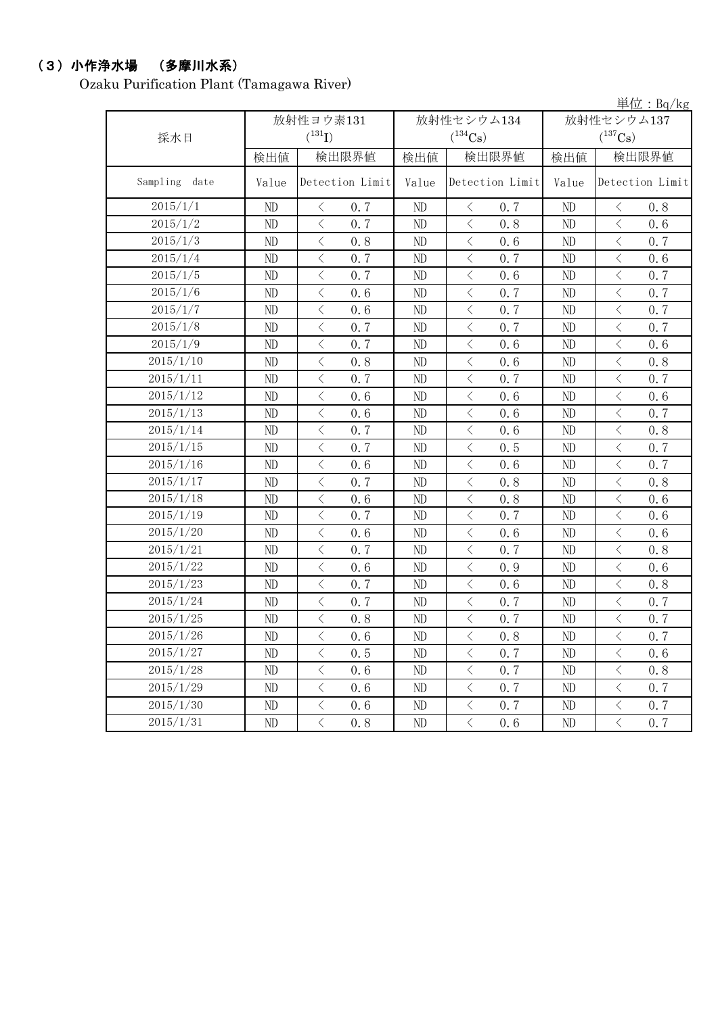### (3)小作浄水場 (多摩川水系)

Ozaku Purification Plant (Tamagawa River)

|               |          |                                                 |                |                                                                                                                                                                      |            | <u><math>\frac{1}{2}</math> <math>\frac{1}{2}</math> <math>\frac{1}{2}</math> <math>\frac{1}{2}</math> <math>\frac{1}{2}</math> <math>\frac{1}{2}</math> <math>\frac{1}{2}</math> <math>\frac{1}{2}</math> <math>\frac{1}{2}</math> <math>\frac{1}{2}</math> <math>\frac{1}{2}</math> <math>\frac{1}{2}</math></u> |  |
|---------------|----------|-------------------------------------------------|----------------|----------------------------------------------------------------------------------------------------------------------------------------------------------------------|------------|--------------------------------------------------------------------------------------------------------------------------------------------------------------------------------------------------------------------------------------------------------------------------------------------------------------------|--|
|               |          | 放射性ヨウ素131                                       |                | 放射性セシウム134                                                                                                                                                           | 放射性セシウム137 |                                                                                                                                                                                                                                                                                                                    |  |
| 採水日           |          | $(^{131}I)$                                     |                | $(^{134}Cs)$                                                                                                                                                         |            | $(^{137}\mathrm{Cs})$                                                                                                                                                                                                                                                                                              |  |
|               | 検出値      | 検出限界値                                           | 検出値            | 検出限界値                                                                                                                                                                | 検出値        | 検出限界値                                                                                                                                                                                                                                                                                                              |  |
| Sampling date | Value    | Detection Limit                                 | Value          | Detection Limit                                                                                                                                                      | Value      | Detection Limit                                                                                                                                                                                                                                                                                                    |  |
| 2015/1/1      | ND       | $\, <\,$<br>0.7                                 | ND             | $\, \big\langle \,$<br>0.7                                                                                                                                           | ND         | $\bigl\langle$<br>0.8                                                                                                                                                                                                                                                                                              |  |
| 2015/1/2      | ND       | $\lt$<br>0.7                                    | ND             | $\,$ $\,$ $\,$<br>0, 8                                                                                                                                               | ND         | $\,$ $\,$ $\,$<br>0.6                                                                                                                                                                                                                                                                                              |  |
| 2015/1/3      | ND       | $\,$ $\,$ $\,$<br>0.8                           | ND             | $\,$ $\,$ $\,$<br>0.6                                                                                                                                                | ND         | $\,$ $\,$ $\,$<br>0.7                                                                                                                                                                                                                                                                                              |  |
| 2015/1/4      | ND       | $\lt$<br>0.7                                    | ND             | $\langle$<br>0.7                                                                                                                                                     | ND         | $\langle$<br>0.6                                                                                                                                                                                                                                                                                                   |  |
| 2015/1/5      | $\rm ND$ | $\,$ $\,$ $\,$<br>0.7                           | $\rm ND$       | $\lt$<br>0.6                                                                                                                                                         | ND         | $\lt$<br>0.7                                                                                                                                                                                                                                                                                                       |  |
| 2015/1/6      | ND       | $\langle$<br>0.6                                | ND             | $\lt$<br>0.7                                                                                                                                                         | ND         | $\langle$<br>0.7                                                                                                                                                                                                                                                                                                   |  |
| 2015/1/7      | ND       | $\overline{\left\langle \right\rangle }$<br>0.6 | ND             | $\,$ $\,$ $\,$<br>0.7                                                                                                                                                | ND         | $\lt$<br>0.7                                                                                                                                                                                                                                                                                                       |  |
| 2015/1/8      | ND       | $\overline{\left\langle \right\rangle }$<br>0.7 | ND             | $\,$ $\,$ $\,$<br>0.7                                                                                                                                                | ND         | $\langle$<br>0.7                                                                                                                                                                                                                                                                                                   |  |
| 2015/1/9      | $\rm ND$ | $\langle$<br>0.7                                | $\rm ND$       | $\langle$<br>0.6                                                                                                                                                     | $\rm ND$   | $\langle$<br>0.6                                                                                                                                                                                                                                                                                                   |  |
| 2015/1/10     | ND       | $\overline{\left\langle \right\rangle }$<br>0.8 | ND             | $\langle$<br>0.6                                                                                                                                                     | ND         | $\langle$<br>0.8                                                                                                                                                                                                                                                                                                   |  |
| 2015/1/11     | ND       | $\overline{\left\langle \right\rangle }$<br>0.7 | ND             | $\,$ $\,$ $\,$<br>0.7                                                                                                                                                | ND         | $\lt$<br>0.7                                                                                                                                                                                                                                                                                                       |  |
| 2015/1/12     | ND       | $\overline{\langle}$<br>0, 6                    | ND             | $\langle$<br>0, 6                                                                                                                                                    | ND         | $\langle$<br>0.6                                                                                                                                                                                                                                                                                                   |  |
| 2015/1/13     | ND       | $\overline{\left\langle \right\rangle }$<br>0.6 | ND             | $\langle$<br>0.6                                                                                                                                                     | ND         | $\overline{\left\langle \right\rangle }$<br>0.7                                                                                                                                                                                                                                                                    |  |
| 2015/1/14     | ND       | $\overline{\left\langle \right\rangle }$<br>0.7 | ND             | $\langle$<br>0.6                                                                                                                                                     | ND         | $\langle$<br>0.8                                                                                                                                                                                                                                                                                                   |  |
| 2015/1/15     | ND       | $\lt$<br>0.7                                    | ND             | $\langle$<br>0.5                                                                                                                                                     | ND         | $\lt$<br>0.7                                                                                                                                                                                                                                                                                                       |  |
| 2015/1/16     | ND       | $\langle$<br>0, 6                               | N <sub>D</sub> | $\langle$<br>0, 6                                                                                                                                                    | ND         | $\langle$<br>0.7                                                                                                                                                                                                                                                                                                   |  |
| 2015/1/17     | ND       | $\,$ $\,$ $\,$<br>0.7                           | ND             | $\lt$<br>0.8                                                                                                                                                         | ND         | $\lt$<br>0.8                                                                                                                                                                                                                                                                                                       |  |
| 2015/1/18     | ND       | $\,$ $\,$ $\,$<br>0.6                           | ND             | $\lt$<br>0.8                                                                                                                                                         | ND         | $\lt$<br>0.6                                                                                                                                                                                                                                                                                                       |  |
| 2015/1/19     | $\rm ND$ | $\,$ $\,$ $\,$<br>0.7                           | $\rm ND$       | $\lt$<br>0.7                                                                                                                                                         | ND         | $\, \big\langle \,$<br>0.6                                                                                                                                                                                                                                                                                         |  |
| 2015/1/20     | ND       | $\,$ $\,$ $\,$<br>0.6                           | $\rm ND$       | $\langle$<br>0.6                                                                                                                                                     | ND         | $\lt$<br>0.6                                                                                                                                                                                                                                                                                                       |  |
| 2015/1/21     | ND       | $\lt$<br>0.7                                    | ND             | $\,$ $\,$ $\,$<br>0.7                                                                                                                                                | ND         | $\lt$<br>0.8                                                                                                                                                                                                                                                                                                       |  |
| 2015/1/22     | $\rm ND$ | $\,$ $\,$ $\,$<br>0.6                           | ND             | $\,$ $\,$ $\,$<br>0.9                                                                                                                                                | ND         | $\,$ $\,$ $\,$<br>0.6                                                                                                                                                                                                                                                                                              |  |
| 2015/1/23     | ND       | $\langle$<br>0.7                                | ND             | $\langle$<br>0.6                                                                                                                                                     | ND         | $\lt$<br>0.8                                                                                                                                                                                                                                                                                                       |  |
| 2015/1/24     | $\rm ND$ | $\langle$<br>0.7                                | ND             | $\langle$<br>0.7                                                                                                                                                     | ND         | $\overline{\left\langle \right\rangle }$<br>0.7                                                                                                                                                                                                                                                                    |  |
| 2015/1/25     | ND       | $\,$ $\,$ $\,$<br>0.8                           | $\rm ND$       | $\lt$<br>0.7                                                                                                                                                         | ND         | $\lt$<br>0.7                                                                                                                                                                                                                                                                                                       |  |
| 2015/1/26     | $\rm ND$ | $\overline{\left\langle \right\rangle }$<br>0.6 | ND             | $\lt$<br>0.8                                                                                                                                                         | ND         | $\lt$<br>0.7                                                                                                                                                                                                                                                                                                       |  |
| 2015/1/27     | ND       | $\langle$<br>0.5                                | ND             | $\,$ $\,$ $\,$<br>0.7                                                                                                                                                | ND         | $\langle$<br>0.6                                                                                                                                                                                                                                                                                                   |  |
| 2015/1/28     | ND       | $\langle$<br>0.6                                | ND             | $\,$ $\,$ $\,$<br>0.7                                                                                                                                                | ND         | $\langle$<br>0.8                                                                                                                                                                                                                                                                                                   |  |
| 2015/1/29     | ND       | $\langle$<br>0.6                                | ND             | $\langle$<br>0.7                                                                                                                                                     | ND         | $\langle$<br>0.7                                                                                                                                                                                                                                                                                                   |  |
| 2015/1/30     | ND       | $\overline{\langle}$<br>0.6                     | ND             | $\overline{\left\langle \right. }% ,\left\langle \overline{\left\langle \right. }% ,\left\langle \overline{\left\langle \right\rangle }\right\rangle \right.$<br>0.7 | ND         | $\overline{\left\langle \right\rangle }$<br>0.7                                                                                                                                                                                                                                                                    |  |
| 2015/1/31     | ND       | $\langle$<br>0.8                                | ND             | $\langle$<br>0.6                                                                                                                                                     | ND         | $\langle$<br>0.7                                                                                                                                                                                                                                                                                                   |  |

単位:Bq/kg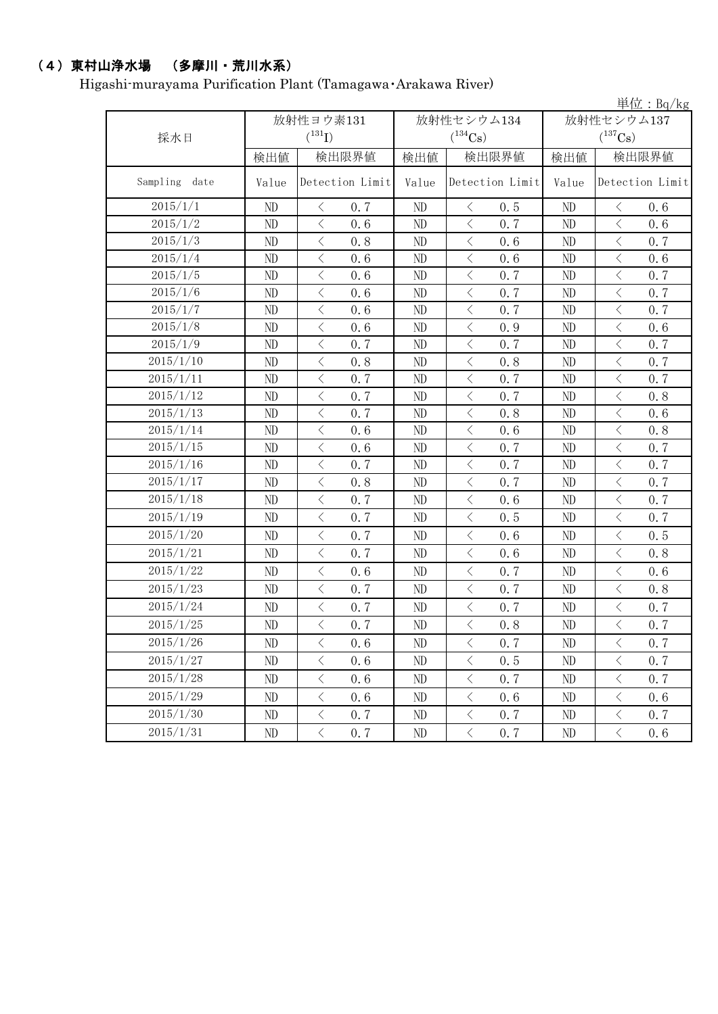## (4)東村山浄水場 (多摩川・荒川水系)

Higashi-murayama Purification Plant (Tamagawa・Arakawa River)

|                  |           |                                          |                 |            |                             |                 |            |                                                                                                                                                                                                                                                                                                                                                                                                                                                                                                                                                                                                                                           | 単位: $Bq/kg$     |
|------------------|-----------|------------------------------------------|-----------------|------------|-----------------------------|-----------------|------------|-------------------------------------------------------------------------------------------------------------------------------------------------------------------------------------------------------------------------------------------------------------------------------------------------------------------------------------------------------------------------------------------------------------------------------------------------------------------------------------------------------------------------------------------------------------------------------------------------------------------------------------------|-----------------|
|                  | 放射性ヨウ素131 |                                          |                 | 放射性セシウム134 |                             |                 | 放射性セシウム137 |                                                                                                                                                                                                                                                                                                                                                                                                                                                                                                                                                                                                                                           |                 |
| 採水日              |           | $(^{131}I)$                              |                 |            | $(^{134}\mathrm{Cs})$       |                 |            | $(^{137}\mathrm{Cs})$                                                                                                                                                                                                                                                                                                                                                                                                                                                                                                                                                                                                                     |                 |
|                  | 検出値       |                                          | 検出限界値           | 検出値        |                             | 検出限界値           | 検出値        |                                                                                                                                                                                                                                                                                                                                                                                                                                                                                                                                                                                                                                           | 検出限界値           |
| Sampling<br>date | Value     |                                          | Detection Limit | Value      |                             | Detection Limit | Value      |                                                                                                                                                                                                                                                                                                                                                                                                                                                                                                                                                                                                                                           | Detection Limit |
| 2015/1/1         | ND        | $\langle$                                | 0.7             | ND         | $\langle$                   | 0.5             | ND         | $\langle$                                                                                                                                                                                                                                                                                                                                                                                                                                                                                                                                                                                                                                 | 0.6             |
| 2015/1/2         | ND        | $\lt$                                    | 0.6             | ND         | $\, \big\langle \,$         | 0.7             | ND         | $\lt$                                                                                                                                                                                                                                                                                                                                                                                                                                                                                                                                                                                                                                     | 0.6             |
| 2015/1/3         | ND        | $\langle$                                | 0.8             | ND         | $\,$ $\,$ $\,$              | 0.6             | ND         | $\langle$                                                                                                                                                                                                                                                                                                                                                                                                                                                                                                                                                                                                                                 | 0.7             |
| 2015/1/4         | ND        | $\langle$                                | 0.6             | $\rm ND$   | $\langle$                   | 0.6             | ND         | $\langle$                                                                                                                                                                                                                                                                                                                                                                                                                                                                                                                                                                                                                                 | 0.6             |
| 2015/1/5         | ND        | $\langle$                                | 0.6             | ND         | $\langle$                   | 0.7             | ND         | $\langle$                                                                                                                                                                                                                                                                                                                                                                                                                                                                                                                                                                                                                                 | 0.7             |
| 2015/1/6         | ND        | $\langle$                                | 0.6             | ND         | $\langle$                   | 0.7             | ND         | $\lt$                                                                                                                                                                                                                                                                                                                                                                                                                                                                                                                                                                                                                                     | 0.7             |
| 2015/1/7         | ND        | $\,<\,$                                  | 0.6             | ND         | $\,$ $\,$ $\,$              | 0.7             | ND         | $\,$ $\,$ $\,$                                                                                                                                                                                                                                                                                                                                                                                                                                                                                                                                                                                                                            | 0.7             |
| 2015/1/8         | ND        | $\lt$                                    | 0.6             | ND         | $\langle$                   | 0.9             | ND         | $\,$ $\,$ $\,$                                                                                                                                                                                                                                                                                                                                                                                                                                                                                                                                                                                                                            | 0.6             |
| 2015/1/9         | ND        | $\langle$                                | 0.7             | $\rm ND$   | $\langle$                   | 0.7             | ND         | $\,$ $\,$ $\,$                                                                                                                                                                                                                                                                                                                                                                                                                                                                                                                                                                                                                            | 0.7             |
| 2015/1/10        | ND        | $\lt$                                    | 0.8             | ND         | $\langle$                   | 0.8             | ND         | $\hspace{0.1mm}\mathopen{\begin{array}{c}\mathopen{\begin{array}{c}\mathopen{\frown}\mathopen{\frown}\mathopen{\frown}\mathopen{\frown}\mathopen{\frown}\mathopen{\frown}\mathopen{\frown}\mathopen{\frown}\mathopen{\frown}\mathopen{\frown}\mathopen{\frown}\mathopen{\frown}\mathopen{\frown}\mathopen{\frown}\mathopen{\frown}\mathopen{\frown}\mathopen{\frown}\mathopen{\frown}\mathopen{\frown}\mathopen{\frown}\mathopen{\frown}\mathopen{\frown}\mathopen{\frown}\mathopen{\frown}\mathopen{\frown}\mathopen{\frown}\mathopen{\frown}\mathopen{\frown}\mathopen{\frown}\mathopen{\frown}\mathopen{\frown}\mathopen{\frown}\math$ | 0.7             |
| 2015/1/11        | ND        | $\,$ $\,$ $\,$                           | 0.7             | $\rm ND$   | $\lt$                       | 0.7             | ND         | $\,$ $\,$ $\,$                                                                                                                                                                                                                                                                                                                                                                                                                                                                                                                                                                                                                            | 0.7             |
| 2015/1/12        | ND        | $\overline{\left\langle \right\rangle }$ | 0.7             | ND         | $\langle$                   | 0.7             | ND         | $\langle$                                                                                                                                                                                                                                                                                                                                                                                                                                                                                                                                                                                                                                 | 0.8             |
| 2015/1/13        | ND        | $\,$ $\,$ $\,$                           | 0.7             | ND         | $\,$ $\,$ $\,$              | 0.8             | ND         | $\,$ $\,$ $\,$                                                                                                                                                                                                                                                                                                                                                                                                                                                                                                                                                                                                                            | 0.6             |
| 2015/1/14        | ND        | $\overline{\left\langle \right\rangle }$ | 0.6             | ND         | $\langle$                   | 0.6             | ND         | $\,$ $\,$ $\,$                                                                                                                                                                                                                                                                                                                                                                                                                                                                                                                                                                                                                            | 0.8             |
| 2015/1/15        | ND        | $\lt$                                    | 0.6             | $\rm ND$   | $\langle$                   | 0.7             | ND         | $\,$ $\,$ $\,$                                                                                                                                                                                                                                                                                                                                                                                                                                                                                                                                                                                                                            | 0.7             |
| 2015/1/16        | ND        | $\lt$                                    | 0.7             | ND         | $\langle$                   | 0.7             | ND         | $\lt$                                                                                                                                                                                                                                                                                                                                                                                                                                                                                                                                                                                                                                     | 0.7             |
| 2015/1/17        | ND        | $\langle$                                | 0.8             | $\rm ND$   | $\langle$                   | 0.7             | ND         | $\langle$                                                                                                                                                                                                                                                                                                                                                                                                                                                                                                                                                                                                                                 | 0.7             |
| 2015/1/18        | ND        | $\langle$                                | 0.7             | ND         | $\langle$                   | 0.6             | ND         | $\,$ $\,$ $\,$                                                                                                                                                                                                                                                                                                                                                                                                                                                                                                                                                                                                                            | 0.7             |
| 2015/1/19        | ND        | $\langle$                                | 0.7             | ND         | $\langle$                   | 0.5             | ND         | $\lt$                                                                                                                                                                                                                                                                                                                                                                                                                                                                                                                                                                                                                                     | 0.7             |
| 2015/1/20        | ND        | $\lt$                                    | 0.7             | ND         | $\langle$                   | 0.6             | ND         | $\langle$                                                                                                                                                                                                                                                                                                                                                                                                                                                                                                                                                                                                                                 | 0.5             |
| 2015/1/21        | ND        | $\langle$                                | 0.7             | ND         | $\langle$                   | 0.6             | ND         | $\,$ $\,$ $\,$                                                                                                                                                                                                                                                                                                                                                                                                                                                                                                                                                                                                                            | 0.8             |
| 2015/1/22        | ND        | $\langle$                                | 0.6             | ND         | $\langle$                   | 0.7             | ND         | $\, \leq$                                                                                                                                                                                                                                                                                                                                                                                                                                                                                                                                                                                                                                 | 0.6             |
| 2015/1/23        | ND        | $\langle$                                | 0.7             | ND         | $\langle$                   | 0.7             | ND         | $\,$ $\,$ $\,$                                                                                                                                                                                                                                                                                                                                                                                                                                                                                                                                                                                                                            | 0.8             |
| 2015/1/24        | ND        | $\, <\,$                                 | 0.7             | ND         | $\langle$                   | 0.7             | ND         | $\, <\,$                                                                                                                                                                                                                                                                                                                                                                                                                                                                                                                                                                                                                                  | 0.7             |
| 2015/1/25        | ND        | $\langle$                                | 0.7             | ND         | $\langle$                   | 0.8             | ND         | $\,$ $\,$ $\,$                                                                                                                                                                                                                                                                                                                                                                                                                                                                                                                                                                                                                            | 0.7             |
| 2015/1/26        | ND        | $\langle$                                | 0.6             | ND         | $\langle$                   | 0.7             | ND         | $\langle$                                                                                                                                                                                                                                                                                                                                                                                                                                                                                                                                                                                                                                 | 0.7             |
| 2015/1/27        | ND        | $\lt$                                    | 0.6             | $\rm ND$   | $\hspace{0.1mm}\big\langle$ | 0.5             | $\rm ND$   | $\, <\,$                                                                                                                                                                                                                                                                                                                                                                                                                                                                                                                                                                                                                                  | 0.7             |
| 2015/1/28        | ND        | $\lt$                                    | 0.6             | ND         | $\, \big\langle \,$         | 0.7             | ND         | $\, \leq$                                                                                                                                                                                                                                                                                                                                                                                                                                                                                                                                                                                                                                 | 0.7             |
| 2015/1/29        | ND        | $\, \big\langle \,$                      | 0.6             | $\rm ND$   | $\langle$                   | 0.6             | ND         | $\langle$                                                                                                                                                                                                                                                                                                                                                                                                                                                                                                                                                                                                                                 | 0.6             |
| 2015/1/30        | ND        | $\, \big\langle \,$                      | 0.7             | ND         | $\, \big\langle \,$         | 0.7             | ND         | $\langle$                                                                                                                                                                                                                                                                                                                                                                                                                                                                                                                                                                                                                                 | 0.7             |
| 2015/1/31        | ND        | $\overline{\left\langle \right\rangle }$ | 0.7             | ND         | $\langle$                   | 0.7             | ND         | $\langle$                                                                                                                                                                                                                                                                                                                                                                                                                                                                                                                                                                                                                                 | 0.6             |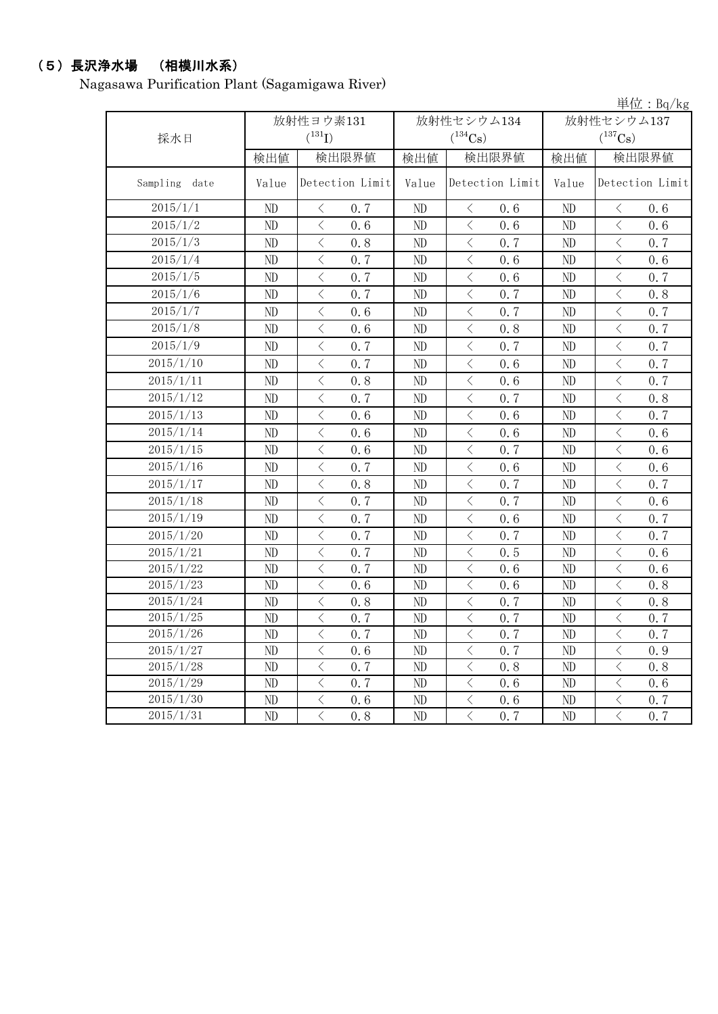# (5)長沢浄水場 (相模川水系)

Nagasawa Purification Plant (Sagamigawa River)

|               |          |                                                 |            |                                                  |                | 単位: Bq/kg                                       |
|---------------|----------|-------------------------------------------------|------------|--------------------------------------------------|----------------|-------------------------------------------------|
|               |          | 放射性ヨウ素131                                       | 放射性セシウム134 | 放射性セシウム137                                       |                |                                                 |
| 採水日           |          | $(^{131}I)$                                     |            | $(^{134}Cs)$                                     |                | $(^{137}Cs)$                                    |
|               | 検出値      | 検出限界値                                           | 検出値        | 検出限界値                                            | 検出値            | 検出限界値                                           |
| Sampling date | Value    | Detection Limit                                 | Value      | Detection Limit                                  | Value          | Detection Limit                                 |
| 2015/1/1      | ND       | 0.7<br>$\langle$                                | ND         | 0.6<br>$\langle$                                 | ND             | 0.6<br>$\lt$                                    |
| 2015/1/2      | ND       | $\langle$<br>0, 6                               | ND         | $\langle$<br>0, 6                                | ND             | $\langle$<br>0.6                                |
| 2015/1/3      | ND       | $\,$ $\,$ $\,$<br>0.8                           | ND         | $\langle$<br>0.7                                 | ND             | $\langle$<br>0.7                                |
| 2015/1/4      | ND       | $\langle$<br>0.7                                | ND         | $\lt$<br>0.6                                     | ND             | $\langle$<br>0.6                                |
| 2015/1/5      | ND       | $\,$ $\,$ $\,$<br>0.7                           | ND         | $\,$ $\,$ $\,$<br>0.6                            | ND             | $\,$ $\,$ $\,$<br>0.7                           |
| 2015/1/6      | ND       | $\langle$<br>0.7                                | ND         | $\langle$<br>0, 7                                | ND             | $\lt$<br>0.8                                    |
| 2015/1/7      | ND       | $\lt$<br>0, 6                                   | ND         | $\overline{\left\langle \right\rangle }$<br>0, 7 | ND             | $\overline{\left\langle \right\rangle }$<br>0.7 |
| 2015/1/8      | ND       | $\,<\,$<br>0.6                                  | ND         | $\langle$<br>0.8                                 | ND             | $\lt$<br>0.7                                    |
| 2015/1/9      | ND       | $\overline{\left\langle \right\rangle }$<br>0.7 | ND         | $\lt$<br>0, 7                                    | ND             | $\lt$<br>0.7                                    |
| 2015/1/10     | ND       | $\langle$<br>0, 7                               | ND         | $\lt$<br>0, 6                                    | ND             | $\lt$<br>0.7                                    |
| 2015/1/11     | ND       | $\langle$<br>0.8                                | ND         | $\,$ $\,$ $\,$<br>0.6                            | ND             | $\,$ $\,$ $\,$<br>0.7                           |
| 2015/1/12     | ND       | $\, <\,$<br>0.7                                 | ND         | $\big\langle$<br>0.7                             | ND             | $\, <\,$<br>0.8                                 |
| 2015/1/13     | ND       | $\,$ $\,$ $\,$<br>0.6                           | ND         | $\,$ $\,$ $\,$<br>0.6                            | ND             | $\lt$<br>0.7                                    |
| 2015/1/14     | ND       | $\hspace{0.5cm}\big\langle$<br>0.6              | ND         | $\, < \,$<br>0.6                                 | ND             | $\hspace{0.1mm} <\hspace{0.1mm}$<br>0.6         |
| 2015/1/15     | ND       | $\,<\,$<br>0.6                                  | ND         | $\hspace{0.1mm} <\hspace{0.1mm}$<br>0, 7         | ND             | $\,$ $\,$ $\,$<br>0.6                           |
| 2015/1/16     | ND       | $\lt$<br>0.7                                    | ND         | $\langle$<br>0, 6                                | ND             | $\langle$<br>0.6                                |
| 2015/1/17     | ND       | $\overline{\left\langle \right\rangle }$<br>0.8 | $\rm ND$   | $\langle$<br>0.7                                 | ND             | $\,$ $\,$ $\,$<br>0.7                           |
| 2015/1/18     | ND       | $\lt$<br>0.7                                    | ND         | $\overline{\left\langle \right\rangle }$<br>0.7  | ND             | $\langle$<br>0.6                                |
| 2015/1/19     | ND       | $\overline{\left\langle \right\rangle }$<br>0.7 | ND         | $\langle$<br>0.6                                 | ND             | $\langle$<br>0.7                                |
| 2015/1/20     | ND       | $\lt$<br>0.7                                    | ND         | $\lt$<br>0.7                                     | ND             | $\lt$<br>0.7                                    |
| 2015/1/21     | ND       | $\overline{\left\langle \right\rangle }$<br>0.7 | ND         | $\overline{\left\langle \right\rangle }$<br>0.5  | ND             | $\overline{\left\langle \right\rangle }$<br>0.6 |
| 2015/1/22     | ND       | $\overline{\left\langle \right\rangle }$<br>0.7 | ND         | $\langle$<br>0.6                                 | ND             | $\langle$<br>0.6                                |
| 2015/1/23     | ND       | $\,$ $\,$ $\,$<br>0.6                           | ND         | $\langle$<br>0.6                                 | ND             | $\,$ $\,$ $\,$<br>0.8                           |
| 2015/1/24     | ND       | $\, < \,$<br>0.8                                | ND         | $\, < \,$<br>0.7                                 | ND             | $\,$ $\,$ $\,$<br>0.8                           |
| 2015/1/25     | ND       | $\,<\,$<br>0.7                                  | ND         | $\lt$<br>0.7                                     | ND             | $\,$ $\,$ $\,$<br>0.7                           |
| 2015/1/26     | ND       | $\, <\,$<br>0.7                                 | ND         | $\hspace{0.1mm} <\hspace{0.1mm}$<br>0.7          | ND             | $\, <\,$<br>0.7                                 |
| 2015/1/27     | ND       | $\, < \,$<br>0.6                                | ND         | $\lt$<br>0.7                                     | ND             | $\, <\,$<br>0.9                                 |
| 2015/1/28     | ND       | $\lt$<br>0.7                                    | ND         | $\lt$<br>0, 8                                    | N <sub>D</sub> | $\lt$<br>0.8                                    |
| 2015/1/29     | $\rm ND$ | $\overline{\left\langle \right\rangle }$<br>0.7 | ND         | $\lt$<br>0.6                                     | ND             | $\langle$<br>0.6                                |
| 2015/1/30     | ND       | $\langle$<br>0.6                                | ND         | $\overline{\left\langle \right\rangle }$<br>0.6  | ND             | $\,$ $\,$ $\,$<br>0.7                           |
| 2015/1/31     | ND       | $\langle$<br>0.8                                | ND         | $\overline{\left\langle \right\rangle }$<br>0.7  | ND             | $\langle$<br>0.7                                |